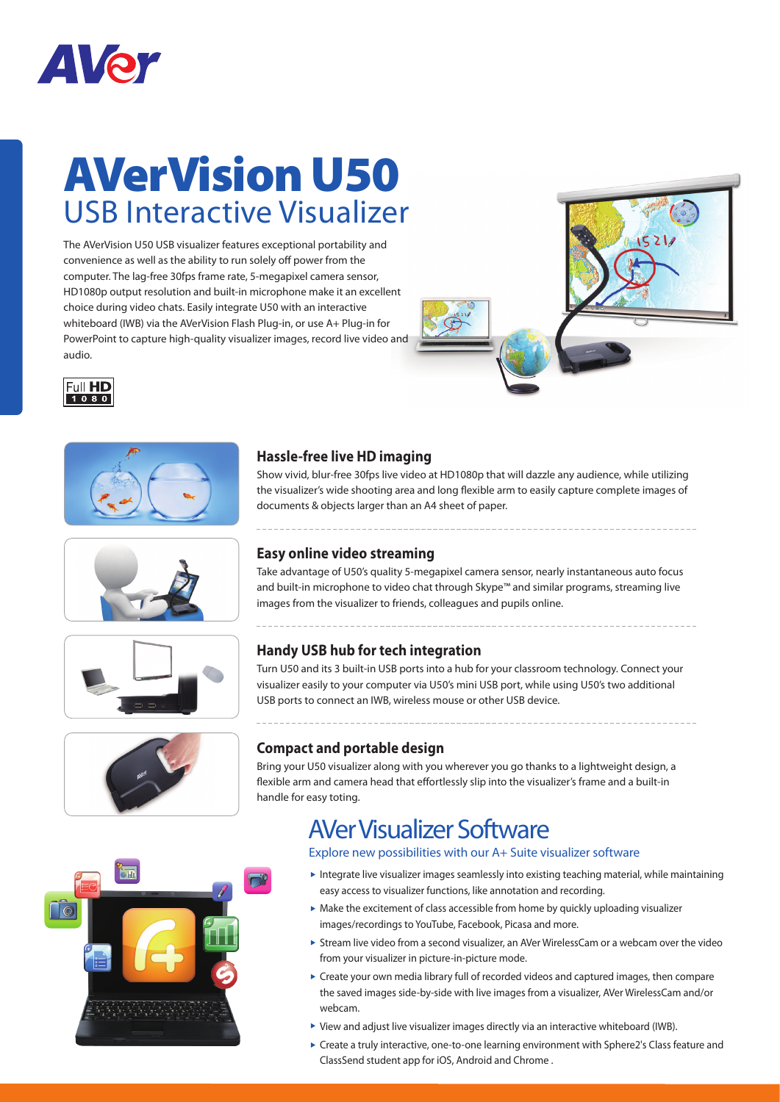

# AVerVision U50 USB Interactive Visualizer

The AVerVision U50 USB visualizer features exceptional portability and convenience as well as the ability to run solely off power from the computer. The lag-free 30fps frame rate, 5-megapixel camera sensor, HD1080p output resolution and built-in microphone make it an excellent choice during video chats. Easily integrate U50 with an interactive whiteboard (IWB) via the AVerVision Flash Plug-in, or use A+ Plug-in for PowerPoint to capture high-quality visualizer images, record live video and audio.















### **Hassle-free live HD imaging**

Show vivid, blur-free 30fps live video at HD1080p that will dazzle any audience, while utilizing the visualizer's wide shooting area and long flexible arm to easily capture complete images of documents & objects larger than an A4 sheet of paper.

## **Easy online video streaming**

Take advantage of U50's quality 5-megapixel camera sensor, nearly instantaneous auto focus and built-in microphone to video chat through Skype™ and similar programs, streaming live images from the visualizer to friends, colleagues and pupils online.

# **Handy USB hub for tech integration**

Turn U50 and its 3 built-in USB ports into a hub for your classroom technology. Connect your visualizer easily to your computer via U50's mini USB port, while using U50's two additional USB ports to connect an IWB, wireless mouse or other USB device.

## **Compact and portable design**

Bring your U50 visualizer along with you wherever you go thanks to a lightweight design, a flexible arm and camera head that effortlessly slip into the visualizer's frame and a built-in handle for easy toting.

# AVer Visualizer Software

### Explore new possibilities with our A+ Suite visualizer software

- Integrate live visualizer images seamlessly into existing teaching material, while maintaining easy access to visualizer functions, like annotation and recording.
- Make the excitement of class accessible from home by quickly uploading visualizer images/recordings to YouTube, Facebook, Picasa and more.
- Stream live video from a second visualizer, an AVer WirelessCam or a webcam over the video from your visualizer in picture-in-picture mode.
- Create your own media library full of recorded videos and captured images, then compare the saved images side-by-side with live images from a visualizer, AVer WirelessCam and/or webcam.
- View and adjust live visualizer images directly via an interactive whiteboard (IWB).
- Create a truly interactive, one-to-one learning environment with Sphere2's Class feature and ClassSend student app for iOS, Android and Chrome .